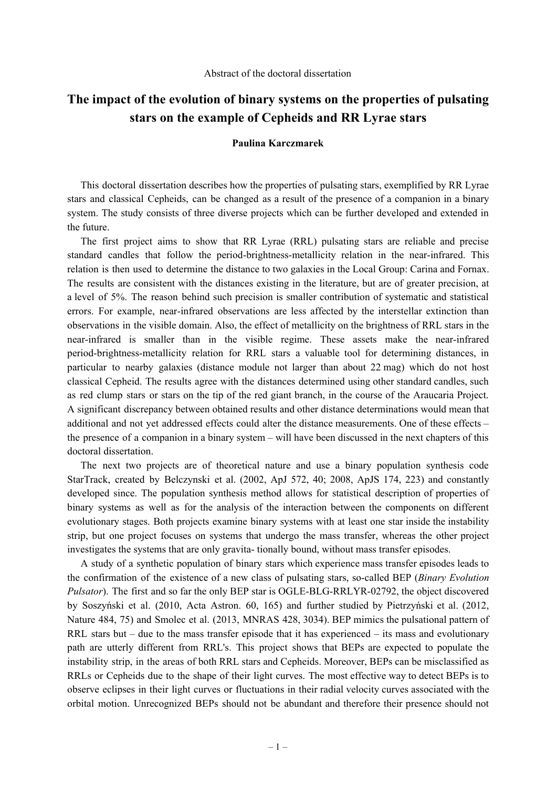## **The impact of the evolution of binary systems on the properties of pulsating stars on the example of Cepheids and RR Lyrae stars**

## **Paulina Karczmarek**

This doctoral dissertation describes how the properties of pulsating stars, exemplified by RR Lyrae stars and classical Cepheids, can be changed as a result of the presence of a companion in a binary system. The study consists of three diverse projects which can be further developed and extended in the future.

The first project aims to show that RR Lyrae (RRL) pulsating stars are reliable and precise standard candles that follow the period-brightness-metallicity relation in the near-infrared. This relation is then used to determine the distance to two galaxies in the Local Group: Carina and Fornax. The results are consistent with the distances existing in the literature, but are of greater precision, at a level of 5%. The reason behind such precision is smaller contribution of systematic and statistical errors. For example, near-infrared observations are less affected by the interstellar extinction than observations in the visible domain. Also, the effect of metallicity on the brightness of RRL stars in the near-infrared is smaller than in the visible regime. These assets make the near-infrared period-brightness-metallicity relation for RRL stars a valuable tool for determining distances, in particular to nearby galaxies (distance module not larger than about 22 mag) which do not host classical Cepheid. The results agree with the distances determined using other standard candles, such as red clump stars or stars on the tip of the red giant branch, in the course of the Araucaria Project. A significant discrepancy between obtained results and other distance determinations would mean that additional and not yet addressed effects could alter the distance measurements. One of these effects – the presence of a companion in a binary system – will have been discussed in the next chapters of this doctoral dissertation.

The next two projects are of theoretical nature and use a binary population synthesis code StarTrack, created by Belczynski et al. (2002, ApJ 572, 40; 2008, ApJS 174, 223) and constantly developed since. The population synthesis method allows for statistical description of properties of binary systems as well as for the analysis of the interaction between the components on different evolutionary stages. Both projects examine binary systems with at least one star inside the instability strip, but one project focuses on systems that undergo the mass transfer, whereas the other project investigates the systems that are only gravita- tionally bound, without mass transfer episodes.

A study of a synthetic population of binary stars which experience mass transfer episodes leads to the confirmation of the existence of a new class of pulsating stars, so-called BEP (*Binary Evolution Pulsator*). The first and so far the only BEP star is OGLE-BLG-RRLYR-02792, the object discovered by Soszyński et al. (2010, Acta Astron. 60, 165) and further studied by Pietrzyński et al. (2012, Nature 484, 75) and Smolec et al. (2013, MNRAS 428, 3034). BEP mimics the pulsational pattern of RRL stars but – due to the mass transfer episode that it has experienced – its mass and evolutionary path are utterly different from RRL's. This project shows that BEPs are expected to populate the instability strip, in the areas of both RRL stars and Cepheids. Moreover, BEPs can be misclassified as RRLs or Cepheids due to the shape of their light curves. The most effective way to detect BEPs is to observe eclipses in their light curves or fluctuations in their radial velocity curves associated with the orbital motion. Unrecognized BEPs should not be abundant and therefore their presence should not